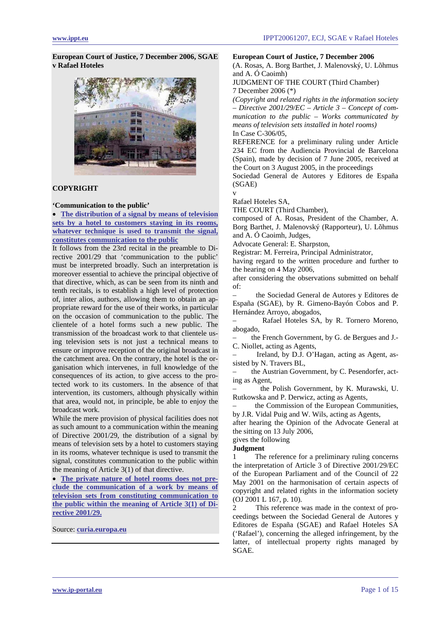**European Court of Justice, 7 December 2006, SGAE v Rafael Hoteles** 



## **COPYRIGHT**

### **'Communication to the public'**

• **[The distribution of a signal by means of television](#page-3-0)  [sets by a hotel to customers staying in its rooms,](#page-3-0)  [whatever technique is used to transmit the signal,](#page-3-0)  [constitutes communication to the public](#page-3-0)**

It follows from the 23rd recital in the preamble to Directive 2001/29 that 'communication to the public' must be interpreted broadly. Such an interpretation is moreover essential to achieve the principal objective of that directive, which, as can be seen from its ninth and tenth recitals, is to establish a high level of protection of, inter alios, authors, allowing them to obtain an appropriate reward for the use of their works, in particular on the occasion of communication to the public. The clientele of a hotel forms such a new public. The transmission of the broadcast work to that clientele using television sets is not just a technical means to ensure or improve reception of the original broadcast in the catchment area. On the contrary, the hotel is the organisation which intervenes, in full knowledge of the consequences of its action, to give access to the protected work to its customers. In the absence of that intervention, its customers, although physically within that area, would not, in principle, be able to enjoy the broadcast work.

While the mere provision of physical facilities does not as such amount to a communication within the meaning of Directive 2001/29, the distribution of a signal by means of television sets by a hotel to customers staying in its rooms, whatever technique is used to transmit the signal, constitutes communication to the public within the meaning of Article 3(1) of that directive.

• **[The private nature of hotel rooms does not pre](#page-5-0)[clude the communication of a work by means of](#page-5-0)  [television sets from constituting communication to](#page-5-0)  [the public within the meaning of Article 3\(1\) of Di](#page-5-0)[rective 2001/29.](#page-5-0)**

Source: **[curia.europa.eu](http://curia.europa.eu/jurisp/cgi-bin/gettext.pl?lang=en&num=79938792C19050306&doc=T&ouvert=T&seance=ARRET)**

### **European Court of Justice, 7 December 2006**

(A. Rosas, A. Borg Barthet, J. Malenovský, U. Lõhmus and A. Ó Caoimh)

JUDGMENT OF THE COURT (Third Chamber) 7 December 2006 (\*)

*(Copyright and related rights in the information society – Directive 2001/29/EC – Article 3 – Concept of communication to the public – Works communicated by means of television sets installed in hotel rooms)*  In Case C-306/05,

REFERENCE for a preliminary ruling under Article 234 EC from the Audiencia Provincial de Barcelona (Spain), made by decision of 7 June 2005, received at the Court on 3 August 2005, in the proceedings

Sociedad General de Autores y Editores de España (SGAE) v

Rafael Hoteles SA,

THE COURT (Third Chamber),

composed of A. Rosas, President of the Chamber, A. Borg Barthet, J. Malenovský (Rapporteur), U. Lõhmus and A. Ó Caoimh, Judges,

Advocate General: E. Sharpston,

Registrar: M. Ferreira, Principal Administrator,

having regard to the written procedure and further to the hearing on 4 May 2006,

after considering the observations submitted on behalf of:

– the Sociedad General de Autores y Editores de España (SGAE), by R. Gimeno-Bayón Cobos and P. Hernández Arroyo, abogados,

– Rafael Hoteles SA, by R. Tornero Moreno, abogado,

– the French Government, by G. de Bergues and J.- C. Niollet, acting as Agents,

Ireland, by D.J. O'Hagan, acting as Agent, assisted by N. Travers BL,

– the Austrian Government, by C. Pesendorfer, acting as Agent,

– the Polish Government, by K. Murawski, U. Rutkowska and P. Derwicz, acting as Agents,

the Commission of the European Communities, by J.R. Vidal Puig and W. Wils, acting as Agents,

after hearing the Opinion of the Advocate General at the sitting on 13 July 2006,

### gives the following **Judgment**

The reference for a preliminary ruling concerns the interpretation of Article 3 of Directive 2001/29/EC of the European Parliament and of the Council of 22 May 2001 on the harmonisation of certain aspects of copyright and related rights in the information society (OJ 2001 L 167, p. 10).

2 This reference was made in the context of proceedings between the Sociedad General de Autores y Editores de España (SGAE) and Rafael Hoteles SA ('Rafael'), concerning the alleged infringement, by the latter, of intellectual property rights managed by SGAE.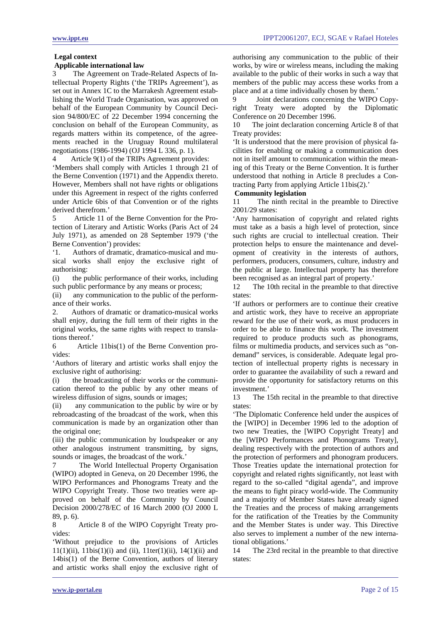## **Legal context**

## **Applicable international law**

3 The Agreement on Trade-Related Aspects of Intellectual Property Rights ('the TRIPs Agreement'), as set out in Annex 1C to the Marrakesh Agreement establishing the World Trade Organisation, was approved on behalf of the European Community by Council Decision 94/800/EC of 22 December 1994 concerning the conclusion on behalf of the European Community, as regards matters within its competence, of the agreements reached in the Uruguay Round multilateral negotiations (1986-1994) (OJ 1994 L 336, p. 1).

4 Article 9(1) of the TRIPs Agreement provides:

'Members shall comply with Articles 1 through 21 of the Berne Convention (1971) and the Appendix thereto. However, Members shall not have rights or obligations under this Agreement in respect of the rights conferred under Article 6bis of that Convention or of the rights derived therefrom.'

5 Article 11 of the Berne Convention for the Protection of Literary and Artistic Works (Paris Act of 24 July 1971), as amended on 28 September 1979 ('the Berne Convention') provides:

'1. Authors of dramatic, dramatico-musical and musical works shall enjoy the exclusive right of authorising:

(i) the public performance of their works, including such public performance by any means or process;

(ii) any communication to the public of the performance of their works.

2. Authors of dramatic or dramatico-musical works shall enjoy, during the full term of their rights in the original works, the same rights with respect to translations thereof.'

6 Article 11bis(1) of the Berne Convention provides:

'Authors of literary and artistic works shall enjoy the exclusive right of authorising:

(i) the broadcasting of their works or the communication thereof to the public by any other means of wireless diffusion of signs, sounds or images;

(ii) any communication to the public by wire or by rebroadcasting of the broadcast of the work, when this communication is made by an organization other than the original one;

(iii) the public communication by loudspeaker or any other analogous instrument transmitting, by signs, sounds or images, the broadcast of the work.'

7 The World Intellectual Property Organisation (WIPO) adopted in Geneva, on 20 December 1996, the WIPO Performances and Phonograms Treaty and the WIPO Copyright Treaty. Those two treaties were approved on behalf of the Community by Council Decision 2000/278/EC of 16 March 2000 (OJ 2000 L 89, p. 6).

8 Article 8 of the WIPO Copyright Treaty provides:

'Without prejudice to the provisions of Articles  $11(1)(ii)$ ,  $11bis(1)(i)$  and (ii),  $11ter(1)(ii)$ ,  $14(1)(ii)$  and 14bis(1) of the Berne Convention, authors of literary and artistic works shall enjoy the exclusive right of authorising any communication to the public of their works, by wire or wireless means, including the making available to the public of their works in such a way that members of the public may access these works from a place and at a time individually chosen by them.'

9 Joint declarations concerning the WIPO Copyright Treaty were adopted by the Diplomatic Conference on 20 December 1996.

10 The joint declaration concerning Article 8 of that Treaty provides:

'It is understood that the mere provision of physical facilities for enabling or making a communication does not in itself amount to communication within the meaning of this Treaty or the Berne Convention. It is further understood that nothing in Article 8 precludes a Contracting Party from applying Article 11bis(2).'

## **Community legislation**

11 The ninth recital in the preamble to Directive 2001/29 states:

'Any harmonisation of copyright and related rights must take as a basis a high level of protection, since such rights are crucial to intellectual creation. Their protection helps to ensure the maintenance and development of creativity in the interests of authors, performers, producers, consumers, culture, industry and the public at large. Intellectual property has therefore been recognised as an integral part of property.'

12 The 10th recital in the preamble to that directive states:

'If authors or performers are to continue their creative and artistic work, they have to receive an appropriate reward for the use of their work, as must producers in order to be able to finance this work. The investment required to produce products such as phonograms, films or multimedia products, and services such as "ondemand" services, is considerable. Adequate legal protection of intellectual property rights is necessary in order to guarantee the availability of such a reward and provide the opportunity for satisfactory returns on this investment.'

13 The 15th recital in the preamble to that directive states:

'The Diplomatic Conference held under the auspices of the [WIPO] in December 1996 led to the adoption of two new Treaties, the [WIPO Copyright Treaty] and the [WIPO Performances and Phonograms Treaty], dealing respectively with the protection of authors and the protection of performers and phonogram producers. Those Treaties update the international protection for copyright and related rights significantly, not least with regard to the so-called "digital agenda", and improve the means to fight piracy world-wide. The Community and a majority of Member States have already signed the Treaties and the process of making arrangements for the ratification of the Treaties by the Community and the Member States is under way. This Directive also serves to implement a number of the new international obligations.'

14 The 23rd recital in the preamble to that directive states: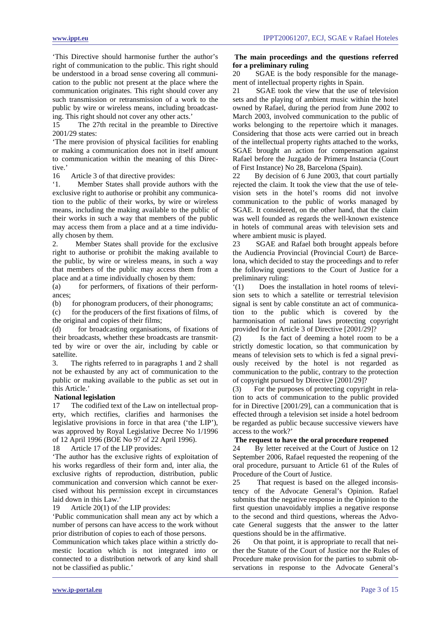'This Directive should harmonise further the author's right of communication to the public. This right should be understood in a broad sense covering all communication to the public not present at the place where the communication originates. This right should cover any such transmission or retransmission of a work to the public by wire or wireless means, including broadcasting. This right should not cover any other acts.'

15 The 27th recital in the preamble to Directive 2001/29 states:

'The mere provision of physical facilities for enabling or making a communication does not in itself amount to communication within the meaning of this Directive.'

16 Article 3 of that directive provides:

'1. Member States shall provide authors with the exclusive right to authorise or prohibit any communication to the public of their works, by wire or wireless means, including the making available to the public of their works in such a way that members of the public may access them from a place and at a time individually chosen by them.

2. Member States shall provide for the exclusive right to authorise or prohibit the making available to the public, by wire or wireless means, in such a way that members of the public may access them from a place and at a time individually chosen by them:

(a) for performers, of fixations of their performances;

(b) for phonogram producers, of their phonograms;

(c) for the producers of the first fixations of films, of the original and copies of their films;

(d) for broadcasting organisations, of fixations of their broadcasts, whether these broadcasts are transmitted by wire or over the air, including by cable or satellite.

3. The rights referred to in paragraphs 1 and 2 shall not be exhausted by any act of communication to the public or making available to the public as set out in this Article.'

## **National legislation**

17 The codified text of the Law on intellectual property, which rectifies, clarifies and harmonises the legislative provisions in force in that area ('the LIP'), was approved by Royal Legislative Decree No 1/1996 of 12 April 1996 (BOE No 97 of 22 April 1996).

18 Article 17 of the LIP provides:

'The author has the exclusive rights of exploitation of his works regardless of their form and, inter alia, the exclusive rights of reproduction, distribution, public communication and conversion which cannot be exercised without his permission except in circumstances laid down in this Law.'

19 Article 20(1) of the LIP provides:

'Public communication shall mean any act by which a number of persons can have access to the work without prior distribution of copies to each of those persons.

Communication which takes place within a strictly domestic location which is not integrated into or connected to a distribution network of any kind shall not be classified as public.'

## **The main proceedings and the questions referred for a preliminary ruling**

20 SGAE is the body responsible for the management of intellectual property rights in Spain.

21 SGAE took the view that the use of television sets and the playing of ambient music within the hotel owned by Rafael, during the period from June 2002 to March 2003, involved communication to the public of works belonging to the repertoire which it manages. Considering that those acts were carried out in breach of the intellectual property rights attached to the works, SGAE brought an action for compensation against Rafael before the Juzgado de Primera Instancia (Court of First Instance) No 28, Barcelona (Spain).

22 By decision of 6 June 2003, that court partially rejected the claim. It took the view that the use of television sets in the hotel's rooms did not involve communication to the public of works managed by SGAE. It considered, on the other hand, that the claim was well founded as regards the well-known existence in hotels of communal areas with television sets and where ambient music is played.

23 SGAE and Rafael both brought appeals before the Audiencia Provincial (Provincial Court) de Barcelona, which decided to stay the proceedings and to refer the following questions to the Court of Justice for a preliminary ruling:

'(1) Does the installation in hotel rooms of television sets to which a satellite or terrestrial television signal is sent by cable constitute an act of communication to the public which is covered by the harmonisation of national laws protecting copyright provided for in Article 3 of Directive [2001/29]?

(2) Is the fact of deeming a hotel room to be a strictly domestic location, so that communication by means of television sets to which is fed a signal previously received by the hotel is not regarded as communication to the public, contrary to the protection of copyright pursued by Directive [2001/29]?

(3) For the purposes of protecting copyright in relation to acts of communication to the public provided for in Directive [2001/29], can a communication that is effected through a television set inside a hotel bedroom be regarded as public because successive viewers have access to the work?'

## **The request to have the oral procedure reopened**

24 By letter received at the Court of Justice on 12 September 2006, Rafael requested the reopening of the oral procedure, pursuant to Article 61 of the Rules of Procedure of the Court of Justice.

25 That request is based on the alleged inconsistency of the Advocate General's Opinion. Rafael submits that the negative response in the Opinion to the first question unavoidably implies a negative response to the second and third questions, whereas the Advocate General suggests that the answer to the latter questions should be in the affirmative.

26 On that point, it is appropriate to recall that neither the Statute of the Court of Justice nor the Rules of Procedure make provision for the parties to submit observations in response to the Advocate General's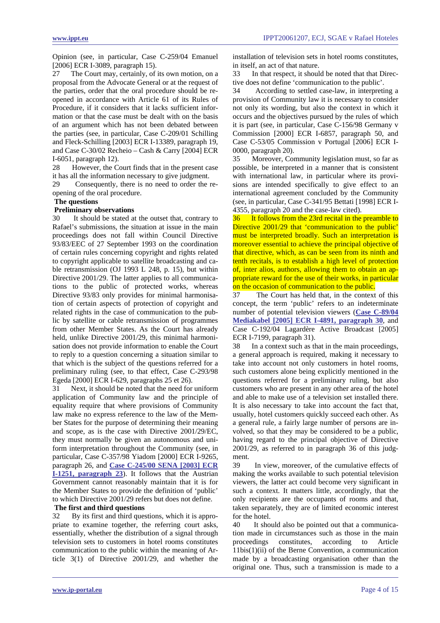<span id="page-3-0"></span>Opinion (see, in particular, Case C-259/04 Emanuel [2006] ECR I-3089, paragraph 15).

27 The Court may, certainly, of its own motion, on a proposal from the Advocate General or at the request of the parties, order that the oral procedure should be reopened in accordance with Article 61 of its Rules of Procedure, if it considers that it lacks sufficient information or that the case must be dealt with on the basis of an argument which has not been debated between the parties (see, in particular, Case C-209/01 Schilling and Fleck-Schilling [2003] ECR I-13389, paragraph 19, and Case C-30/02 Recheio – Cash & Carry [2004] ECR I-6051, paragraph 12).

28 However, the Court finds that in the present case it has all the information necessary to give judgment.

29 Consequently, there is no need to order the reopening of the oral procedure.

## **The questions**

## **Preliminary observations**

30 It should be stated at the outset that, contrary to Rafael's submissions, the situation at issue in the main proceedings does not fall within Council Directive 93/83/EEC of 27 September 1993 on the coordination of certain rules concerning copyright and rights related to copyright applicable to satellite broadcasting and cable retransmission (OJ 1993 L 248, p. 15), but within Directive 2001/29. The latter applies to all communications to the public of protected works, whereas Directive 93/83 only provides for minimal harmonisation of certain aspects of protection of copyright and related rights in the case of communication to the public by satellite or cable retransmission of programmes from other Member States. As the Court has already held, unlike Directive 2001/29, this minimal harmonisation does not provide information to enable the Court to reply to a question concerning a situation similar to that which is the subject of the questions referred for a preliminary ruling (see, to that effect, Case C-293/98 Egeda [2000] ECR I-629, paragraphs 25 et 26).

31 Next, it should be noted that the need for uniform application of Community law and the principle of equality require that where provisions of Community law make no express reference to the law of the Member States for the purpose of determining their meaning and scope, as is the case with Directive 2001/29/EC, they must normally be given an autonomous and uniform interpretation throughout the Community (see, in particular, Case C-357/98 Yiadom [2000] ECR I-9265, paragraph 26, and **[Case C-245/00 SENA \[2003\] ECR](http://www.iept.nl/files/2003/IEPT20030206_HvJEG_Sena_v_NOS.pdf)  [I-1251, paragraph 23](http://www.iept.nl/files/2003/IEPT20030206_HvJEG_Sena_v_NOS.pdf)**). It follows that the Austrian Government cannot reasonably maintain that it is for the Member States to provide the definition of 'public' to which Directive 2001/29 refers but does not define.

## **The first and third questions**

32 By its first and third questions, which it is appropriate to examine together, the referring court asks, essentially, whether the distribution of a signal through television sets to customers in hotel rooms constitutes communication to the public within the meaning of Article 3(1) of Directive 2001/29, and whether the installation of television sets in hotel rooms constitutes, in itself, an act of that nature.

33 In that respect, it should be noted that that Directive does not define 'communication to the public'.

34 According to settled case-law, in interpreting a provision of Community law it is necessary to consider not only its wording, but also the context in which it occurs and the objectives pursued by the rules of which it is part (see, in particular, Case C-156/98 Germany v Commission [2000] ECR I-6857, paragraph 50, and Case C-53/05 Commission v Portugal [2006] ECR I-0000, paragraph 20).

35 Moreover, Community legislation must, so far as possible, be interpreted in a manner that is consistent with international law, in particular where its provisions are intended specifically to give effect to an international agreement concluded by the Community (see, in particular, Case C-341/95 Bettati [1998] ECR I-4355, paragraph 20 and the case-law cited).

36 It follows from the 23rd recital in the preamble to Directive 2001/29 that 'communication to the public' must be interpreted broadly. Such an interpretation is moreover essential to achieve the principal objective of that directive, which, as can be seen from its ninth and tenth recitals, is to establish a high level of protection of, inter alios, authors, allowing them to obtain an appropriate reward for the use of their works, in particular on the occasion of communication to the public.

37 The Court has held that, in the context of this concept, the term 'public' refers to an indeterminate number of potential television viewers (**[Case C-89/04](http://www.ippt.eu/files/2005/IPPT20050602_ECJ_Mediakabel_v_Commissariaat_voor_de_Media.pdf)  [Mediakabel \[2005\] ECR I-4891, paragraph 30](http://www.ippt.eu/files/2005/IPPT20050602_ECJ_Mediakabel_v_Commissariaat_voor_de_Media.pdf)**, and Case C-192/04 Lagardère Active Broadcast [2005] ECR I-7199, paragraph 31).

38 In a context such as that in the main proceedings, a general approach is required, making it necessary to take into account not only customers in hotel rooms, such customers alone being explicitly mentioned in the questions referred for a preliminary ruling, but also customers who are present in any other area of the hotel and able to make use of a television set installed there. It is also necessary to take into account the fact that, usually, hotel customers quickly succeed each other. As a general rule, a fairly large number of persons are involved, so that they may be considered to be a public, having regard to the principal objective of Directive 2001/29, as referred to in paragraph 36 of this judgment.

39 In view, moreover, of the cumulative effects of making the works available to such potential television viewers, the latter act could become very significant in such a context. It matters little, accordingly, that the only recipients are the occupants of rooms and that, taken separately, they are of limited economic interest for the hotel.

40 It should also be pointed out that a communication made in circumstances such as those in the main proceedings constitutes, according to Article 11bis(1)(ii) of the Berne Convention, a communication made by a broadcasting organisation other than the original one. Thus, such a transmission is made to a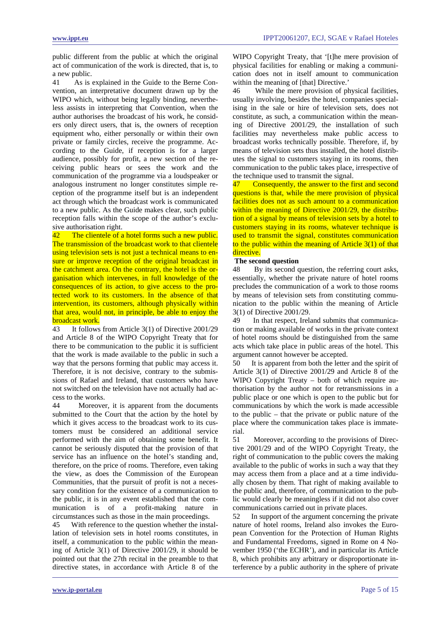public different from the public at which the original act of communication of the work is directed, that is, to a new public.

41 As is explained in the Guide to the Berne Convention, an interpretative document drawn up by the WIPO which, without being legally binding, nevertheless assists in interpreting that Convention, when the author authorises the broadcast of his work, he considers only direct users, that is, the owners of reception equipment who, either personally or within their own private or family circles, receive the programme. According to the Guide, if reception is for a larger audience, possibly for profit, a new section of the receiving public hears or sees the work and the communication of the programme via a loudspeaker or analogous instrument no longer constitutes simple reception of the programme itself but is an independent act through which the broadcast work is communicated to a new public. As the Guide makes clear, such public reception falls within the scope of the author's exclusive authorisation right.

42 The clientele of a hotel forms such a new public. The transmission of the broadcast work to that clientele using television sets is not just a technical means to ensure or improve reception of the original broadcast in the catchment area. On the contrary, the hotel is the organisation which intervenes, in full knowledge of the consequences of its action, to give access to the protected work to its customers. In the absence of that intervention, its customers, although physically within that area, would not, in principle, be able to enjoy the broadcast work.

43 It follows from Article 3(1) of Directive 2001/29 and Article 8 of the WIPO Copyright Treaty that for there to be communication to the public it is sufficient that the work is made available to the public in such a way that the persons forming that public may access it. Therefore, it is not decisive, contrary to the submissions of Rafael and Ireland, that customers who have not switched on the television have not actually had access to the works.

44 Moreover, it is apparent from the documents submitted to the Court that the action by the hotel by which it gives access to the broadcast work to its customers must be considered an additional service performed with the aim of obtaining some benefit. It cannot be seriously disputed that the provision of that service has an influence on the hotel's standing and, therefore, on the price of rooms. Therefore, even taking the view, as does the Commission of the European Communities, that the pursuit of profit is not a necessary condition for the existence of a communication to the public, it is in any event established that the communication is of a profit-making nature in circumstances such as those in the main proceedings.

45 With reference to the question whether the installation of television sets in hotel rooms constitutes, in itself, a communication to the public within the meaning of Article 3(1) of Directive 2001/29, it should be pointed out that the 27th recital in the preamble to that directive states, in accordance with Article 8 of the WIPO Copyright Treaty, that '[t]he mere provision of physical facilities for enabling or making a communication does not in itself amount to communication within the meaning of [that] Directive.'

46 While the mere provision of physical facilities, usually involving, besides the hotel, companies specialising in the sale or hire of television sets, does not constitute, as such, a communication within the meaning of Directive 2001/29, the installation of such facilities may nevertheless make public access to broadcast works technically possible. Therefore, if, by means of television sets thus installed, the hotel distributes the signal to customers staying in its rooms, then communication to the public takes place, irrespective of the technique used to transmit the signal.

47 Consequently, the answer to the first and second questions is that, while the mere provision of physical facilities does not as such amount to a communication within the meaning of Directive 2001/29, the distribution of a signal by means of television sets by a hotel to customers staying in its rooms, whatever technique is used to transmit the signal, constitutes communication to the public within the meaning of Article 3(1) of that directive.

## **The second question**

48 By its second question, the referring court asks, essentially, whether the private nature of hotel rooms precludes the communication of a work to those rooms by means of television sets from constituting communication to the public within the meaning of Article 3(1) of Directive 2001/29.

49 In that respect, Ireland submits that communication or making available of works in the private context of hotel rooms should be distinguished from the same acts which take place in public areas of the hotel. This argument cannot however be accepted.

50 It is apparent from both the letter and the spirit of Article 3(1) of Directive 2001/29 and Article 8 of the WIPO Copyright Treaty – both of which require authorisation by the author not for retransmissions in a public place or one which is open to the public but for communications by which the work is made accessible to the public – that the private or public nature of the place where the communication takes place is immaterial.

51 Moreover, according to the provisions of Directive 2001/29 and of the WIPO Copyright Treaty, the right of communication to the public covers the making available to the public of works in such a way that they may access them from a place and at a time individually chosen by them. That right of making available to the public and, therefore, of communication to the public would clearly be meaningless if it did not also cover communications carried out in private places.

52 In support of the argument concerning the private nature of hotel rooms, Ireland also invokes the European Convention for the Protection of Human Rights and Fundamental Freedoms, signed in Rome on 4 November 1950 ('the ECHR'), and in particular its Article 8, which prohibits any arbitrary or disproportionate interference by a public authority in the sphere of private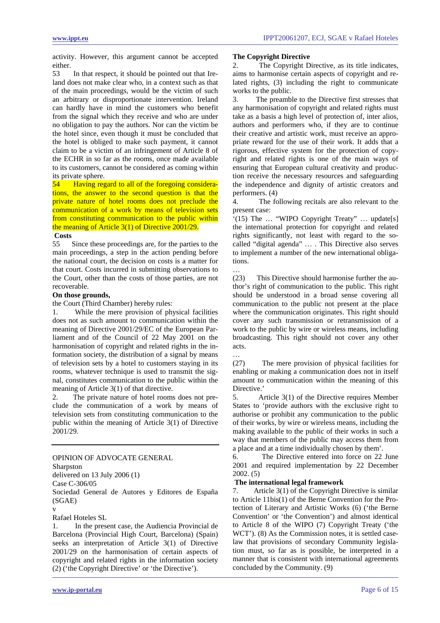<span id="page-5-0"></span>activity. However, this argument cannot be accepted either.

53 In that respect, it should be pointed out that Ireland does not make clear who, in a context such as that of the main proceedings, would be the victim of such an arbitrary or disproportionate intervention. Ireland can hardly have in mind the customers who benefit from the signal which they receive and who are under no obligation to pay the authors. Nor can the victim be the hotel since, even though it must be concluded that the hotel is obliged to make such payment, it cannot claim to be a victim of an infringement of Article 8 of the ECHR in so far as the rooms, once made available to its customers, cannot be considered as coming within its private sphere.

54 Having regard to all of the foregoing considerations, the answer to the second question is that the private nature of hotel rooms does not preclude the communication of a work by means of television sets from constituting communication to the public within the meaning of Article 3(1) of Directive 2001/29.

# **Costs**

55 Since these proceedings are, for the parties to the main proceedings, a step in the action pending before the national court, the decision on costs is a matter for that court. Costs incurred in submitting observations to the Court, other than the costs of those parties, are not recoverable.

#### **On those grounds,**

the Court (Third Chamber) hereby rules:

1. While the mere provision of physical facilities does not as such amount to communication within the meaning of Directive 2001/29/EC of the European Parliament and of the Council of 22 May 2001 on the harmonisation of copyright and related rights in the information society, the distribution of a signal by means of television sets by a hotel to customers staying in its rooms, whatever technique is used to transmit the signal, constitutes communication to the public within the meaning of Article 3(1) of that directive.

2. The private nature of hotel rooms does not preclude the communication of a work by means of television sets from constituting communication to the public within the meaning of Article 3(1) of Directive 2001/29.

OPINION OF ADVOCATE GENERAL Sharpston delivered on 13 July 2006 (1) Case C-306/05 Sociedad General de Autores y Editores de España (SGAE)

v

Rafael Hoteles SL

1. In the present case, the Audiencia Provincial de Barcelona (Provincial High Court, Barcelona) (Spain) seeks an interpretation of Article 3(1) of Directive 2001/29 on the harmonisation of certain aspects of copyright and related rights in the information society (2) ('the Copyright Directive' or 'the Directive').

### **The Copyright Directive**

2. The Copyright Directive, as its title indicates, aims to harmonise certain aspects of copyright and related rights, (3) including the right to communicate works to the public.

3. The preamble to the Directive first stresses that any harmonisation of copyright and related rights must take as a basis a high level of protection of, inter alios, authors and performers who, if they are to continue their creative and artistic work, must receive an appropriate reward for the use of their work. It adds that a rigorous, effective system for the protection of copyright and related rights is one of the main ways of ensuring that European cultural creativity and production receive the necessary resources and safeguarding the independence and dignity of artistic creators and performers. (4)

4. The following recitals are also relevant to the present case:

'(15) The … "WIPO Copyright Treaty" … update[s] the international protection for copyright and related rights significantly, not least with regard to the socalled "digital agenda" … . This Directive also serves to implement a number of the new international obligations.

(23) This Directive should harmonise further the author's right of communication to the public. This right should be understood in a broad sense covering all communication to the public not present at the place where the communication originates. This right should cover any such transmission or retransmission of a work to the public by wire or wireless means, including broadcasting. This right should not cover any other acts.

…

…

(27) The mere provision of physical facilities for enabling or making a communication does not in itself amount to communication within the meaning of this Directive.'

Article 3(1) of the Directive requires Member States to 'provide authors with the exclusive right to authorise or prohibit any communication to the public of their works, by wire or wireless means, including the making available to the public of their works in such a way that members of the public may access them from a place and at a time individually chosen by them'.

6. The Directive entered into force on 22 June 2001 and required implementation by 22 December 2002. (5)

### **The international legal framework**

7. Article 3(1) of the Copyright Directive is similar to Article 11bis(1) of the Berne Convention for the Protection of Literary and Artistic Works (6) ('the Berne Convention' or 'the Convention') and almost identical to Article 8 of the WIPO (7) Copyright Treaty ('the WCT'). (8) As the Commission notes, it is settled caselaw that provisions of secondary Community legislation must, so far as is possible, be interpreted in a manner that is consistent with international agreements concluded by the Community. (9)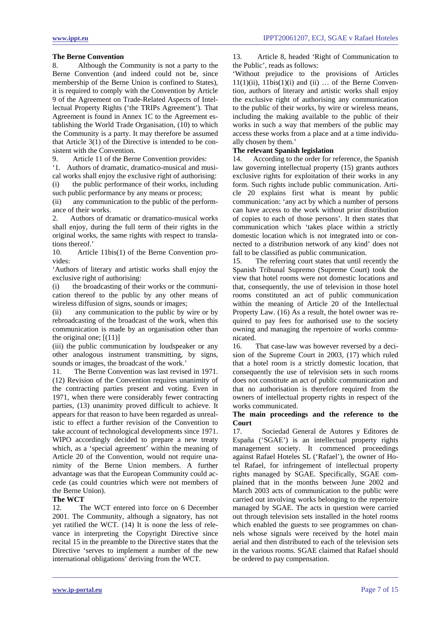## **The Berne Convention**

8. Although the Community is not a party to the Berne Convention (and indeed could not be, since membership of the Berne Union is confined to States), it is required to comply with the Convention by Article 9 of the Agreement on Trade-Related Aspects of Intellectual Property Rights ('the TRIPs Agreement'). That Agreement is found in Annex 1C to the Agreement establishing the World Trade Organisation, (10) to which the Community is a party. It may therefore be assumed that Article 3(1) of the Directive is intended to be consistent with the Convention.

9. Article 11 of the Berne Convention provides:

'1. Authors of dramatic, dramatico-musical and musical works shall enjoy the exclusive right of authorising:

(i) the public performance of their works, including such public performance by any means or process;

(ii) any communication to the public of the performance of their works.

2. Authors of dramatic or dramatico-musical works shall enjoy, during the full term of their rights in the original works, the same rights with respect to translations thereof.'

10. Article 11bis(1) of the Berne Convention provides:

'Authors of literary and artistic works shall enjoy the exclusive right of authorising:

(i) the broadcasting of their works or the communication thereof to the public by any other means of wireless diffusion of signs, sounds or images;

(ii) any communication to the public by wire or by rebroadcasting of the broadcast of the work, when this communication is made by an organisation other than the original one;  $[(11)]$ 

(iii) the public communication by loudspeaker or any other analogous instrument transmitting, by signs, sounds or images, the broadcast of the work.'

11. The Berne Convention was last revised in 1971. (12) Revision of the Convention requires unanimity of the contracting parties present and voting. Even in 1971, when there were considerably fewer contracting parties, (13) unanimity proved difficult to achieve. It appears for that reason to have been regarded as unrealistic to effect a further revision of the Convention to take account of technological developments since 1971. WIPO accordingly decided to prepare a new treaty which, as a 'special agreement' within the meaning of Article 20 of the Convention, would not require unanimity of the Berne Union members. A further advantage was that the European Community could accede (as could countries which were not members of the Berne Union).

## **The WCT**

12. The WCT entered into force on 6 December 2001. The Community, although a signatory, has not yet ratified the WCT. (14) It is none the less of relevance in interpreting the Copyright Directive since recital 15 in the preamble to the Directive states that the Directive 'serves to implement a number of the new international obligations' deriving from the WCT.

13. Article 8, headed 'Right of Communication to the Public', reads as follows:

'Without prejudice to the provisions of Articles  $11(1)(ii)$ ,  $11bis(1)(i)$  and  $(ii)$  ... of the Berne Convention, authors of literary and artistic works shall enjoy the exclusive right of authorising any communication to the public of their works, by wire or wireless means, including the making available to the public of their works in such a way that members of the public may access these works from a place and at a time individually chosen by them.'

## **The relevant Spanish legislation**

14. According to the order for reference, the Spanish law governing intellectual property (15) grants authors exclusive rights for exploitation of their works in any form. Such rights include public communication. Article 20 explains first what is meant by public communication: 'any act by which a number of persons can have access to the work without prior distribution of copies to each of those persons'. It then states that communication which 'takes place within a strictly domestic location which is not integrated into or connected to a distribution network of any kind' does not fall to be classified as public communication.

15. The referring court states that until recently the Spanish Tribunal Supremo (Supreme Court) took the view that hotel rooms were not domestic locations and that, consequently, the use of television in those hotel rooms constituted an act of public communication within the meaning of Article 20 of the Intellectual Property Law. (16) As a result, the hotel owner was required to pay fees for authorised use to the society owning and managing the repertoire of works communicated.

16. That case-law was however reversed by a decision of the Supreme Court in 2003, (17) which ruled that a hotel room is a strictly domestic location, that consequently the use of television sets in such rooms does not constitute an act of public communication and that no authorisation is therefore required from the owners of intellectual property rights in respect of the works communicated.

## **The main proceedings and the reference to the Court**

17. Sociedad General de Autores y Editores de España ('SGAE') is an intellectual property rights management society. It commenced proceedings against Rafael Hoteles SL ('Rafael'), the owner of Hotel Rafael, for infringement of intellectual property rights managed by SGAE. Specifically, SGAE complained that in the months between June 2002 and March 2003 acts of communication to the public were carried out involving works belonging to the repertoire managed by SGAE. The acts in question were carried out through television sets installed in the hotel rooms which enabled the guests to see programmes on channels whose signals were received by the hotel main aerial and then distributed to each of the television sets in the various rooms. SGAE claimed that Rafael should be ordered to pay compensation.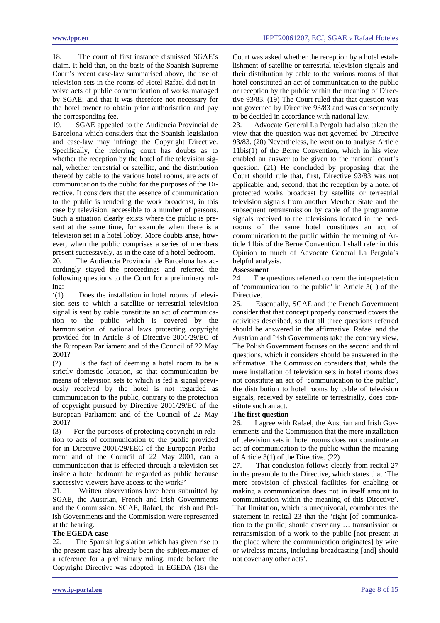18. The court of first instance dismissed SGAE's claim. It held that, on the basis of the Spanish Supreme Court's recent case-law summarised above, the use of television sets in the rooms of Hotel Rafael did not involve acts of public communication of works managed by SGAE; and that it was therefore not necessary for the hotel owner to obtain prior authorisation and pay the corresponding fee.

19. SGAE appealed to the Audiencia Provincial de Barcelona which considers that the Spanish legislation and case-law may infringe the Copyright Directive. Specifically, the referring court has doubts as to whether the reception by the hotel of the television signal, whether terrestrial or satellite, and the distribution thereof by cable to the various hotel rooms, are acts of communication to the public for the purposes of the Directive. It considers that the essence of communication to the public is rendering the work broadcast, in this case by television, accessible to a number of persons. Such a situation clearly exists where the public is present at the same time, for example when there is a television set in a hotel lobby. More doubts arise, however, when the public comprises a series of members present successively, as in the case of a hotel bedroom.

20. The Audiencia Provincial de Barcelona has accordingly stayed the proceedings and referred the following questions to the Court for a preliminary ruling:

'(1) Does the installation in hotel rooms of television sets to which a satellite or terrestrial television signal is sent by cable constitute an act of communication to the public which is covered by the harmonisation of national laws protecting copyright provided for in Article 3 of Directive 2001/29/EC of the European Parliament and of the Council of 22 May 2001?

(2) Is the fact of deeming a hotel room to be a strictly domestic location, so that communication by means of television sets to which is fed a signal previously received by the hotel is not regarded as communication to the public, contrary to the protection of copyright pursued by Directive 2001/29/EC of the European Parliament and of the Council of 22 May 2001?

(3) For the purposes of protecting copyright in relation to acts of communication to the public provided for in Directive 2001/29/EEC of the European Parliament and of the Council of 22 May 2001, can a communication that is effected through a television set inside a hotel bedroom be regarded as public because successive viewers have access to the work?'

21. Written observations have been submitted by SGAE, the Austrian, French and Irish Governments and the Commission. SGAE, Rafael, the Irish and Polish Governments and the Commission were represented at the hearing.

# **The EGEDA case**

22. The Spanish legislation which has given rise to the present case has already been the subject-matter of a reference for a preliminary ruling, made before the Copyright Directive was adopted. In EGEDA (18) the

Court was asked whether the reception by a hotel establishment of satellite or terrestrial television signals and their distribution by cable to the various rooms of that hotel constituted an act of communication to the public or reception by the public within the meaning of Directive 93/83. (19) The Court ruled that that question was not governed by Directive 93/83 and was consequently to be decided in accordance with national law.

23. Advocate General La Pergola had also taken the view that the question was not governed by Directive 93/83. (20) Nevertheless, he went on to analyse Article 11bis(1) of the Berne Convention, which in his view enabled an answer to be given to the national court's question. (21) He concluded by proposing that the Court should rule that, first, Directive 93/83 was not applicable, and, second, that the reception by a hotel of protected works broadcast by satellite or terrestrial television signals from another Member State and the subsequent retransmission by cable of the programme signals received to the televisions located in the bedrooms of the same hotel constitutes an act of communication to the public within the meaning of Article 11bis of the Berne Convention. I shall refer in this Opinion to much of Advocate General La Pergola's helpful analysis.

# **Assessment**

24. The questions referred concern the interpretation of 'communication to the public' in Article 3(1) of the Directive.

25. Essentially, SGAE and the French Government consider that that concept properly construed covers the activities described, so that all three questions referred should be answered in the affirmative. Rafael and the Austrian and Irish Governments take the contrary view. The Polish Government focuses on the second and third questions, which it considers should be answered in the affirmative. The Commission considers that, while the mere installation of television sets in hotel rooms does not constitute an act of 'communication to the public', the distribution to hotel rooms by cable of television signals, received by satellite or terrestrially, does constitute such an act.

# **The first question**

26. I agree with Rafael, the Austrian and Irish Governments and the Commission that the mere installation of television sets in hotel rooms does not constitute an act of communication to the public within the meaning of Article 3(1) of the Directive. (22)

27. That conclusion follows clearly from recital 27 in the preamble to the Directive, which states that 'The mere provision of physical facilities for enabling or making a communication does not in itself amount to communication within the meaning of this Directive'. That limitation, which is unequivocal, corroborates the statement in recital 23 that the 'right [of communication to the public] should cover any … transmission or retransmission of a work to the public [not present at the place where the communication originates] by wire or wireless means, including broadcasting [and] should not cover any other acts'.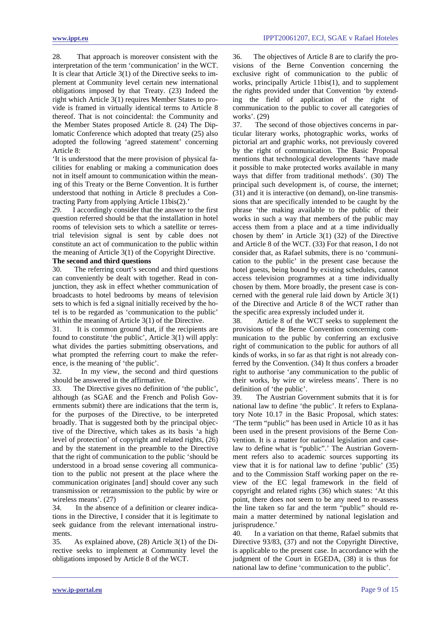28. That approach is moreover consistent with the interpretation of the term 'communication' in the WCT. It is clear that Article 3(1) of the Directive seeks to implement at Community level certain new international obligations imposed by that Treaty. (23) Indeed the right which Article 3(1) requires Member States to provide is framed in virtually identical terms to Article 8 thereof. That is not coincidental: the Community and the Member States proposed Article 8. (24) The Diplomatic Conference which adopted that treaty (25) also adopted the following 'agreed statement' concerning Article 8:

'It is understood that the mere provision of physical facilities for enabling or making a communication does not in itself amount to communication within the meaning of this Treaty or the Berne Convention. It is further understood that nothing in Article 8 precludes a Contracting Party from applying Article 11bis(2).'

29. I accordingly consider that the answer to the first question referred should be that the installation in hotel rooms of television sets to which a satellite or terrestrial television signal is sent by cable does not constitute an act of communication to the public within the meaning of Article 3(1) of the Copyright Directive.

## **The second and third questions**

30. The referring court's second and third questions can conveniently be dealt with together. Read in conjunction, they ask in effect whether communication of broadcasts to hotel bedrooms by means of television sets to which is fed a signal initially received by the hotel is to be regarded as 'communication to the public' within the meaning of Article 3(1) of the Directive.

31. It is common ground that, if the recipients are found to constitute 'the public', Article 3(1) will apply: what divides the parties submitting observations, and what prompted the referring court to make the reference, is the meaning of 'the public'.

32. In my view, the second and third questions should be answered in the affirmative.

33. The Directive gives no definition of 'the public', although (as SGAE and the French and Polish Governments submit) there are indications that the term is, for the purposes of the Directive, to be interpreted broadly. That is suggested both by the principal objective of the Directive, which takes as its basis 'a high level of protection' of copyright and related rights, (26) and by the statement in the preamble to the Directive that the right of communication to the public 'should be understood in a broad sense covering all communication to the public not present at the place where the communication originates [and] should cover any such transmission or retransmission to the public by wire or wireless means'. (27)

34. In the absence of a definition or clearer indications in the Directive, I consider that it is legitimate to seek guidance from the relevant international instruments.

35. As explained above, (28) Article 3(1) of the Directive seeks to implement at Community level the obligations imposed by Article 8 of the WCT.

36. The objectives of Article 8 are to clarify the provisions of the Berne Convention concerning the exclusive right of communication to the public of works, principally Article 11bis(1), and to supplement the rights provided under that Convention 'by extending the field of application of the right of communication to the public to cover all categories of works'. (29)

37. The second of those objectives concerns in particular literary works, photographic works, works of pictorial art and graphic works, not previously covered by the right of communication. The Basic Proposal mentions that technological developments 'have made it possible to make protected works available in many ways that differ from traditional methods'. (30) The principal such development is, of course, the internet; (31) and it is interactive (on demand), on-line transmissions that are specifically intended to be caught by the phrase 'the making available to the public of their works in such a way that members of the public may access them from a place and at a time individually chosen by them' in Article 3(1) (32) of the Directive and Article 8 of the WCT. (33) For that reason, I do not consider that, as Rafael submits, there is no 'communication to the public' in the present case because the hotel guests, being bound by existing schedules, cannot access television programmes at a time individually chosen by them. More broadly, the present case is concerned with the general rule laid down by Article 3(1) of the Directive and Article 8 of the WCT rather than the specific area expressly included under it.

38. Article 8 of the WCT seeks to supplement the provisions of the Berne Convention concerning communication to the public by conferring an exclusive right of communication to the public for authors of all kinds of works, in so far as that right is not already conferred by the Convention. (34) It thus confers a broader right to authorise 'any communication to the public of their works, by wire or wireless means'. There is no definition of 'the public'.

39. The Austrian Government submits that it is for national law to define 'the public'. It refers to Explanatory Note 10.17 in the Basic Proposal, which states: 'The term "public" has been used in Article 10 as it has been used in the present provisions of the Berne Convention. It is a matter for national legislation and caselaw to define what is "public".' The Austrian Government refers also to academic sources supporting its view that it is for national law to define 'public' (35) and to the Commission Staff working paper on the review of the EC legal framework in the field of copyright and related rights (36) which states: 'At this point, there does not seem to be any need to re-assess the line taken so far and the term "public" should remain a matter determined by national legislation and jurisprudence.'

40. In a variation on that theme, Rafael submits that Directive 93/83, (37) and not the Copyright Directive, is applicable to the present case. In accordance with the judgment of the Court in EGEDA, (38) it is thus for national law to define 'communication to the public'.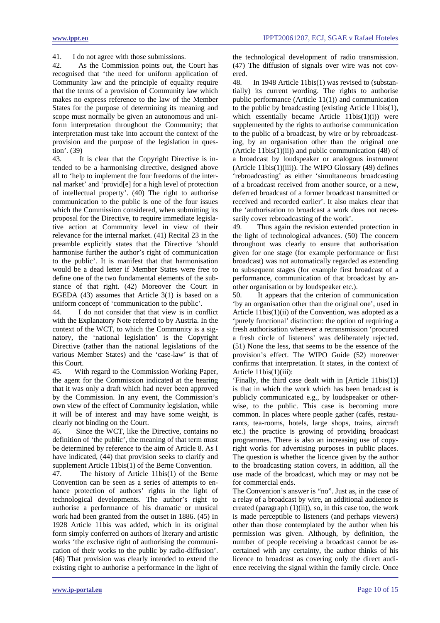41. I do not agree with those submissions.

42. As the Commission points out, the Court has recognised that 'the need for uniform application of Community law and the principle of equality require that the terms of a provision of Community law which makes no express reference to the law of the Member States for the purpose of determining its meaning and scope must normally be given an autonomous and uniform interpretation throughout the Community; that interpretation must take into account the context of the provision and the purpose of the legislation in question'. (39)

43. It is clear that the Copyright Directive is intended to be a harmonising directive, designed above all to 'help to implement the four freedoms of the internal market' and 'provid[e] for a high level of protection of intellectual property'. (40) The right to authorise communication to the public is one of the four issues which the Commission considered, when submitting its proposal for the Directive, to require immediate legislative action at Community level in view of their relevance for the internal market. (41) Recital 23 in the preamble explicitly states that the Directive 'should harmonise further the author's right of communication to the public'. It is manifest that that harmonisation would be a dead letter if Member States were free to define one of the two fundamental elements of the substance of that right. (42) Moreover the Court in EGEDA (43) assumes that Article 3(1) is based on a uniform concept of 'communication to the public'.

44. I do not consider that that view is in conflict with the Explanatory Note referred to by Austria. In the context of the WCT, to which the Community is a signatory, the 'national legislation' is the Copyright Directive (rather than the national legislations of the various Member States) and the 'case-law' is that of this Court.

45. With regard to the Commission Working Paper, the agent for the Commission indicated at the hearing that it was only a draft which had never been approved by the Commission. In any event, the Commission's own view of the effect of Community legislation, while it will be of interest and may have some weight, is clearly not binding on the Court.

46. Since the WCT, like the Directive, contains no definition of 'the public', the meaning of that term must be determined by reference to the aim of Article 8. As I have indicated, (44) that provision seeks to clarify and supplement Article 11bis(1) of the Berne Convention.

47. The history of Article 11bis(1) of the Berne Convention can be seen as a series of attempts to enhance protection of authors' rights in the light of technological developments. The author's right to authorise a performance of his dramatic or musical work had been granted from the outset in 1886. (45) In 1928 Article 11bis was added, which in its original form simply conferred on authors of literary and artistic works 'the exclusive right of authorising the communication of their works to the public by radio-diffusion'. (46) That provision was clearly intended to extend the existing right to authorise a performance in the light of the technological development of radio transmission. (47) The diffusion of signals over wire was not covered.

48. In 1948 Article 11bis(1) was revised to (substantially) its current wording. The rights to authorise public performance (Article 11(1)) and communication to the public by broadcasting (existing Article 11bis(1), which essentially became Article  $11bis(1)(i)$  were supplemented by the rights to authorise communication to the public of a broadcast, by wire or by rebroadcasting, by an organisation other than the original one (Article 11bis $(1)(ii)$ ) and public communication (48) of a broadcast by loudspeaker or analogous instrument (Article 11bis(1)(iii)). The WIPO Glossary (49) defines 'rebroadcasting' as either 'simultaneous broadcasting of a broadcast received from another source, or a new, deferred broadcast of a former broadcast transmitted or received and recorded earlier'. It also makes clear that the 'authorisation to broadcast a work does not necessarily cover rebroadcasting of the work'.

49. Thus again the revision extended protection in the light of technological advances. (50) The concern throughout was clearly to ensure that authorisation given for one stage (for example performance or first broadcast) was not automatically regarded as extending to subsequent stages (for example first broadcast of a performance, communication of that broadcast by another organisation or by loudspeaker etc.).

50. It appears that the criterion of communication 'by an organisation other than the original one', used in Article 11bis(1)(ii) of the Convention, was adopted as a 'purely functional' distinction: the option of requiring a fresh authorisation wherever a retransmission 'procured a fresh circle of listeners' was deliberately rejected. (51) None the less, that seems to be the essence of the provision's effect. The WIPO Guide (52) moreover confirms that interpretation. It states, in the context of Article 11bis(1)(iii):

'Finally, the third case dealt with in [Article 11bis(1)] is that in which the work which has been broadcast is publicly communicated e.g., by loudspeaker or otherwise, to the public. This case is becoming more common. In places where people gather (cafés, restaurants, tea-rooms, hotels, large shops, trains, aircraft etc.) the practice is growing of providing broadcast programmes. There is also an increasing use of copyright works for advertising purposes in public places. The question is whether the licence given by the author to the broadcasting station covers, in addition, all the use made of the broadcast, which may or may not be for commercial ends.

The Convention's answer is "no". Just as, in the case of a relay of a broadcast by wire, an additional audience is created (paragraph  $(1)(ii)$ ), so, in this case too, the work is made perceptible to listeners (and perhaps viewers) other than those contemplated by the author when his permission was given. Although, by definition, the number of people receiving a broadcast cannot be ascertained with any certainty, the author thinks of his licence to broadcast as covering only the direct audience receiving the signal within the family circle. Once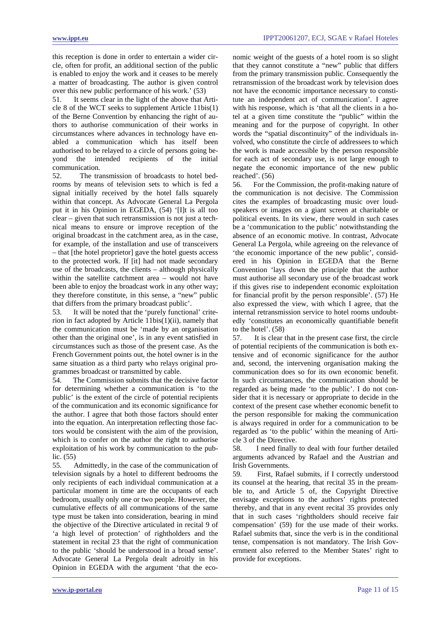this reception is done in order to entertain a wider circle, often for profit, an additional section of the public is enabled to enjoy the work and it ceases to be merely a matter of broadcasting. The author is given control over this new public performance of his work.' (53)

51. It seems clear in the light of the above that Article 8 of the WCT seeks to supplement Article 11bis(1) of the Berne Convention by enhancing the right of authors to authorise communication of their works in circumstances where advances in technology have enabled a communication which has itself been authorised to be relayed to a circle of persons going beyond the intended recipients of the initial communication.

52. The transmission of broadcasts to hotel bedrooms by means of television sets to which is fed a signal initially received by the hotel falls squarely within that concept. As Advocate General La Pergola put it in his Opinion in EGEDA, (54) '[I]t is all too clear – given that such retransmission is not just a technical means to ensure or improve reception of the original broadcast in the catchment area, as in the case, for example, of the installation and use of transceivers – that [the hotel proprietor] gave the hotel guests access to the protected work. If [it] had not made secondary use of the broadcasts, the clients – although physically within the satellite catchment area – would not have been able to enjoy the broadcast work in any other way; they therefore constitute, in this sense, a "new" public that differs from the primary broadcast public'.

53. It will be noted that the 'purely functional' criterion in fact adopted by Article 11bis(1)(ii), namely that the communication must be 'made by an organisation other than the original one', is in any event satisfied in circumstances such as those of the present case. As the French Government points out, the hotel owner is in the same situation as a third party who relays original programmes broadcast or transmitted by cable.

54. The Commission submits that the decisive factor for determining whether a communication is 'to the public' is the extent of the circle of potential recipients of the communication and its economic significance for the author. I agree that both those factors should enter into the equation. An interpretation reflecting those factors would be consistent with the aim of the provision, which is to confer on the author the right to authorise exploitation of his work by communication to the public. (55)

55. Admittedly, in the case of the communication of television signals by a hotel to different bedrooms the only recipients of each individual communication at a particular moment in time are the occupants of each bedroom, usually only one or two people. However, the cumulative effects of all communications of the same type must be taken into consideration, bearing in mind the objective of the Directive articulated in recital 9 of 'a high level of protection' of rightholders and the statement in recital 23 that the right of communication to the public 'should be understood in a broad sense'. Advocate General La Pergola dealt adroitly in his Opinion in EGEDA with the argument 'that the eco-

nomic weight of the guests of a hotel room is so slight that they cannot constitute a "new" public that differs from the primary transmission public. Consequently the retransmission of the broadcast work by television does not have the economic importance necessary to constitute an independent act of communication'. I agree with his response, which is 'that all the clients in a hotel at a given time constitute the "public" within the meaning and for the purpose of copyright. In other words the "spatial discontinuity" of the individuals involved, who constitute the circle of addressees to which the work is made accessible by the person responsible for each act of secondary use, is not large enough to negate the economic importance of the new public reached'. (56)

56. For the Commission, the profit-making nature of the communication is not decisive. The Commission cites the examples of broadcasting music over loudspeakers or images on a giant screen at charitable or political events. In its view, there would in such cases be a 'communication to the public' notwithstanding the absence of an economic motive. In contrast, Advocate General La Pergola, while agreeing on the relevance of 'the economic importance of the new public', considered in his Opinion in EGEDA that the Berne Convention 'lays down the principle that the author must authorise all secondary use of the broadcast work if this gives rise to independent economic exploitation for financial profit by the person responsible'. (57) He also expressed the view, with which I agree, that the internal retransmission service to hotel rooms undoubtedly 'constitutes an economically quantifiable benefit to the hotel'. (58)

57. It is clear that in the present case first, the circle of potential recipients of the communication is both extensive and of economic significance for the author and, second, the intervening organisation making the communication does so for its own economic benefit. In such circumstances, the communication should be regarded as being made 'to the public'. I do not consider that it is necessary or appropriate to decide in the context of the present case whether economic benefit to the person responsible for making the communication is always required in order for a communication to be regarded as 'to the public' within the meaning of Article 3 of the Directive.

58. I need finally to deal with four further detailed arguments advanced by Rafael and the Austrian and Irish Governments.

59. First, Rafael submits, if I correctly understood its counsel at the hearing, that recital 35 in the preamble to, and Article 5 of, the Copyright Directive envisage exceptions to the authors' rights protected thereby, and that in any event recital 35 provides only that in such cases 'rightholders should receive fair compensation' (59) for the use made of their works. Rafael submits that, since the verb is in the conditional tense, compensation is not mandatory. The Irish Government also referred to the Member States' right to provide for exceptions.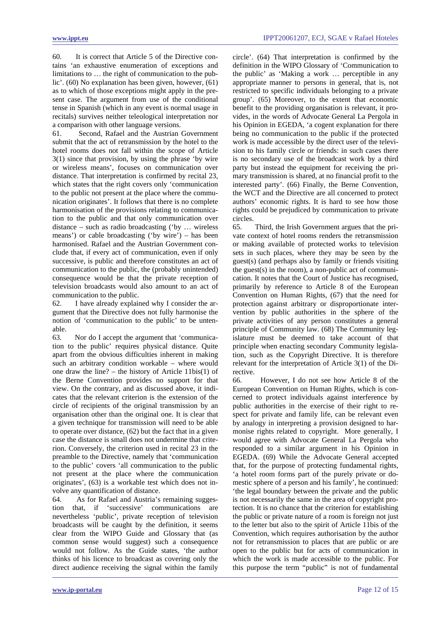60. It is correct that Article 5 of the Directive contains 'an exhaustive enumeration of exceptions and limitations to … the right of communication to the public'. (60) No explanation has been given, however, (61) as to which of those exceptions might apply in the present case. The argument from use of the conditional tense in Spanish (which in any event is normal usage in recitals) survives neither teleological interpretation nor a comparison with other language versions.

61. Second, Rafael and the Austrian Government submit that the act of retransmission by the hotel to the hotel rooms does not fall within the scope of Article 3(1) since that provision, by using the phrase 'by wire or wireless means', focuses on communication over distance. That interpretation is confirmed by recital 23, which states that the right covers only 'communication to the public not present at the place where the communication originates'. It follows that there is no complete harmonisation of the provisions relating to communication to the public and that only communication over distance – such as radio broadcasting ('by … wireless means') or cable broadcasting ('by wire') – has been harmonised. Rafael and the Austrian Government conclude that, if every act of communication, even if only successive, is public and therefore constitutes an act of communication to the public, the (probably unintended) consequence would be that the private reception of television broadcasts would also amount to an act of communication to the public.

62. I have already explained why I consider the argument that the Directive does not fully harmonise the notion of 'communication to the public' to be untenable.

63. Nor do I accept the argument that 'communication to the public' requires physical distance. Quite apart from the obvious difficulties inherent in making such an arbitrary condition workable – where would one draw the line? – the history of Article 11bis(1) of the Berne Convention provides no support for that view. On the contrary, and as discussed above, it indicates that the relevant criterion is the extension of the circle of recipients of the original transmission by an organisation other than the original one. It is clear that a given technique for transmission will need to be able to operate over distance, (62) but the fact that in a given case the distance is small does not undermine that criterion. Conversely, the criterion used in recital 23 in the preamble to the Directive, namely that 'communication to the public' covers 'all communication to the public not present at the place where the communication originates', (63) is a workable test which does not involve any quantification of distance.

64. As for Rafael and Austria's remaining suggestion that, if 'successive' communications are nevertheless 'public', private reception of television broadcasts will be caught by the definition, it seems clear from the WIPO Guide and Glossary that (as common sense would suggest) such a consequence would not follow. As the Guide states, 'the author thinks of his licence to broadcast as covering only the direct audience receiving the signal within the family

circle'. (64) That interpretation is confirmed by the definition in the WIPO Glossary of 'Communication to the public' as 'Making a work … perceptible in any appropriate manner to persons in general, that is, not restricted to specific individuals belonging to a private group'. (65) Moreover, to the extent that economic benefit to the providing organisation is relevant, it provides, in the words of Advocate General La Pergola in his Opinion in EGEDA, 'a cogent explanation for there being no communication to the public if the protected work is made accessible by the direct user of the television to his family circle or friends: in such cases there is no secondary use of the broadcast work by a third party but instead the equipment for receiving the primary transmission is shared, at no financial profit to the interested party'. (66) Finally, the Berne Convention, the WCT and the Directive are all concerned to protect authors' economic rights. It is hard to see how those rights could be prejudiced by communication to private circles.

65. Third, the Irish Government argues that the private context of hotel rooms renders the retransmission or making available of protected works to television sets in such places, where they may be seen by the guest(s) (and perhaps also by family or friends visiting the guest(s) in the room), a non-public act of communication. It notes that the Court of Justice has recognised, primarily by reference to Article 8 of the European Convention on Human Rights, (67) that the need for protection against arbitrary or disproportionate intervention by public authorities in the sphere of the private activities of any person constitutes a general principle of Community law. (68) The Community legislature must be deemed to take account of that principle when enacting secondary Community legislation, such as the Copyright Directive. It is therefore relevant for the interpretation of Article 3(1) of the Directive.

66. However, I do not see how Article 8 of the European Convention on Human Rights, which is concerned to protect individuals against interference by public authorities in the exercise of their right to respect for private and family life, can be relevant even by analogy in interpreting a provision designed to harmonise rights related to copyright. More generally, I would agree with Advocate General La Pergola who responded to a similar argument in his Opinion in EGEDA. (69) While the Advocate General accepted that, for the purpose of protecting fundamental rights, 'a hotel room forms part of the purely private or domestic sphere of a person and his family', he continued: 'the legal boundary between the private and the public is not necessarily the same in the area of copyright protection. It is no chance that the criterion for establishing the public or private nature of a room is foreign not just to the letter but also to the spirit of Article 11bis of the Convention, which requires authorisation by the author not for retransmission to places that are public or are open to the public but for acts of communication in which the work is made accessible to the public. For this purpose the term "public" is not of fundamental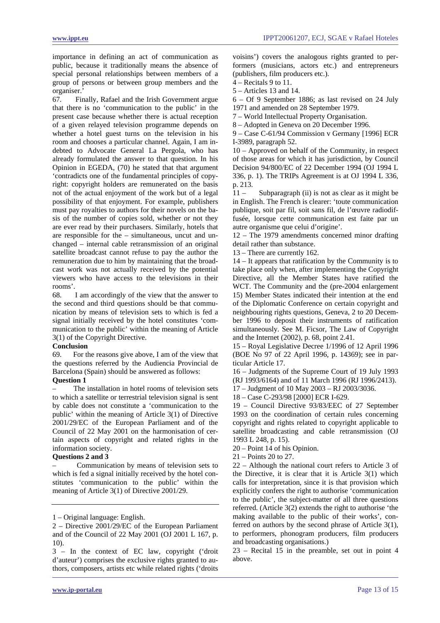importance in defining an act of communication as public, because it traditionally means the absence of special personal relationships between members of a group of persons or between group members and the organiser.'

67. Finally, Rafael and the Irish Government argue that there is no 'communication to the public' in the present case because whether there is actual reception of a given relayed television programme depends on whether a hotel guest turns on the television in his room and chooses a particular channel. Again, I am indebted to Advocate General La Pergola, who has already formulated the answer to that question. In his Opinion in EGEDA, (70) he stated that that argument 'contradicts one of the fundamental principles of copyright: copyright holders are remunerated on the basis not of the actual enjoyment of the work but of a legal possibility of that enjoyment. For example, publishers must pay royalties to authors for their novels on the basis of the number of copies sold, whether or not they are ever read by their purchasers. Similarly, hotels that are responsible for the – simultaneous, uncut and unchanged – internal cable retransmission of an original satellite broadcast cannot refuse to pay the author the remuneration due to him by maintaining that the broadcast work was not actually received by the potential viewers who have access to the televisions in their rooms'.

68. I am accordingly of the view that the answer to the second and third questions should be that communication by means of television sets to which is fed a signal initially received by the hotel constitutes 'communication to the public' within the meaning of Article 3(1) of the Copyright Directive.

## **Conclusion**

69. For the reasons give above, I am of the view that the questions referred by the Audiencia Provincial de Barcelona (Spain) should be answered as follows:

## **Question 1**

The installation in hotel rooms of television sets to which a satellite or terrestrial television signal is sent by cable does not constitute a 'communication to the public' within the meaning of Article 3(1) of Directive 2001/29/EC of the European Parliament and of the Council of 22 May 2001 on the harmonisation of certain aspects of copyright and related rights in the information society.

## **Questions 2 and 3**

– Communication by means of television sets to which is fed a signal initially received by the hotel constitutes 'communication to the public' within the meaning of Article 3(1) of Directive 2001/29.

voisins') covers the analogous rights granted to performers (musicians, actors etc.) and entrepreneurs (publishers, film producers etc.).

4 – Recitals 9 to 11.

5 – Articles 13 and 14.

6 – Of 9 September 1886; as last revised on 24 July

1971 and amended on 28 September 1979.

7 – World Intellectual Property Organisation. 8 – Adopted in Geneva on 20 December 1996.

9 – Case C-61/94 Commission v Germany [1996] ECR I-3989, paragraph 52.

10 – Approved on behalf of the Community, in respect of those areas for which it has jurisdiction, by Council Decision 94/800/EC of 22 December 1994 (OJ 1994 L 336, p. 1). The TRIPs Agreement is at OJ 1994 L 336, p. 213.

11 – Subparagraph (ii) is not as clear as it might be in English. The French is clearer: 'toute communication publique, soit par fil, soit sans fil, de l'œuvre radiodiffusée, lorsque cette communication est faite par un autre organisme que celui d'origine'.

12 – The 1979 amendments concerned minor drafting detail rather than substance.

13 – There are currently 162.

14 – It appears that ratification by the Community is to take place only when, after implementing the Copyright Directive, all the Member States have ratified the WCT. The Community and the (pre-2004 enlargement 15) Member States indicated their intention at the end of the Diplomatic Conference on certain copyright and neighbouring rights questions, Geneva, 2 to 20 December 1996 to deposit their instruments of ratification simultaneously. See M. Ficsor, The Law of Copyright and the Internet (2002), p. 68, point 2.41.

15 – Royal Legislative Decree 1/1996 of 12 April 1996 (BOE No 97 of 22 April 1996, p. 14369); see in particular Article 17.

16 – Judgments of the Supreme Court of 19 July 1993 (RJ 1993/6164) and of 11 March 1996 (RJ 1996/2413).

17 – Judgment of 10 May 2003 – RJ 2003/3036.

18 – Case C-293/98 [2000] ECR I-629.

19 – Council Directive 93/83/EEC of 27 September 1993 on the coordination of certain rules concerning copyright and rights related to copyright applicable to satellite broadcasting and cable retransmission (OJ 1993 L 248, p. 15).

20 – Point 14 of his Opinion.

22 – Although the national court refers to Article 3 of the Directive, it is clear that it is Article 3(1) which calls for interpretation, since it is that provision which explicitly confers the right to authorise 'communication to the public', the subject-matter of all three questions referred. (Article 3(2) extends the right to authorise 'the making available to the public of their works', conferred on authors by the second phrase of Article 3(1), to performers, phonogram producers, film producers and broadcasting organisations.)

23 – Recital 15 in the preamble, set out in point 4 above.

<sup>1 –</sup> Original language: English.

<sup>2 –</sup> Directive 2001/29/EC of the European Parliament and of the Council of 22 May 2001 (OJ 2001 L 167, p. 10).

<sup>3 –</sup> In the context of EC law, copyright ('droit d'auteur') comprises the exclusive rights granted to authors, composers, artists etc while related rights ('droits

<sup>21 –</sup> Points 20 to 27.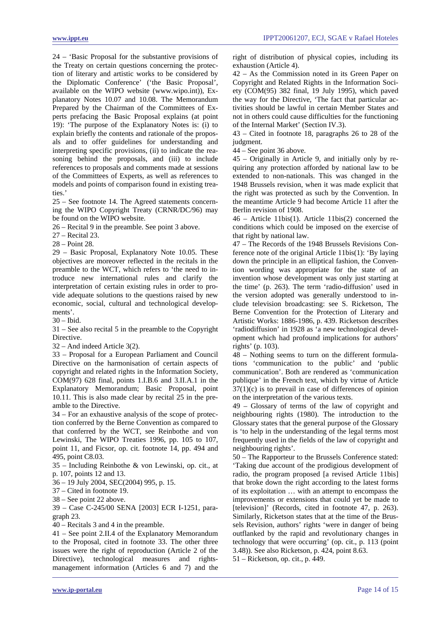24 – 'Basic Proposal for the substantive provisions of the Treaty on certain questions concerning the protection of literary and artistic works to be considered by the Diplomatic Conference' ('the Basic Proposal', available on the WIPO website (www.wipo.int)), Explanatory Notes 10.07 and 10.08. The Memorandum Prepared by the Chairman of the Committees of Experts prefacing the Basic Proposal explains (at point 19): 'The purpose of the Explanatory Notes is: (i) to explain briefly the contents and rationale of the proposals and to offer guidelines for understanding and interpreting specific provisions, (ii) to indicate the reasoning behind the proposals, and (iii) to include references to proposals and comments made at sessions of the Committees of Experts, as well as references to models and points of comparison found in existing treaties.'

25 – See footnote 14. The Agreed statements concerning the WIPO Copyright Treaty (CRNR/DC/96) may be found on the WIPO website.

26 – Recital 9 in the preamble. See point 3 above.

27 – Recital 23.

28 – Point 28.

29 – Basic Proposal, Explanatory Note 10.05. These objectives are moreover reflected in the recitals in the preamble to the WCT, which refers to 'the need to introduce new international rules and clarify the interpretation of certain existing rules in order to provide adequate solutions to the questions raised by new economic, social, cultural and technological developments'.

 $30 -$  Ibid.

31 – See also recital 5 in the preamble to the Copyright **Directive** 

32 – And indeed Article 3(2).

33 – Proposal for a European Parliament and Council Directive on the harmonisation of certain aspects of copyright and related rights in the Information Society, COM(97) 628 final, points 1.I.B.6 and 3.II.A.1 in the Explanatory Memorandum; Basic Proposal, point 10.11. This is also made clear by recital 25 in the preamble to the Directive.

34 – For an exhaustive analysis of the scope of protection conferred by the Berne Convention as compared to that conferred by the WCT, see Reinbothe and von Lewinski, The WIPO Treaties 1996, pp. 105 to 107, point 11, and Ficsor, op. cit. footnote 14, pp. 494 and 495, point C8.03.

35 – Including Reinbothe & von Lewinski, op. cit., at p. 107, points 12 and 13.

36 – 19 July 2004, SEC(2004) 995, p. 15.

37 – Cited in footnote 19.

38 – See point 22 above.

39 – Case C-245/00 SENA [2003] ECR I-1251, paragraph 23.

40 – Recitals 3 and 4 in the preamble.

41 – See point 2.II.4 of the Explanatory Memorandum to the Proposal, cited in footnote 33. The other three issues were the right of reproduction (Article 2 of the Directive), technological measures and rightsmanagement information (Articles 6 and 7) and the right of distribution of physical copies, including its exhaustion (Article 4).

42 – As the Commission noted in its Green Paper on Copyright and Related Rights in the Information Society (COM(95) 382 final, 19 July 1995), which paved the way for the Directive, 'The fact that particular activities should be lawful in certain Member States and not in others could cause difficulties for the functioning of the Internal Market' (Section IV.3).

43 – Cited in footnote 18, paragraphs 26 to 28 of the judgment.

44 – See point 36 above.

45 – Originally in Article 9, and initially only by requiring any protection afforded by national law to be extended to non-nationals. This was changed in the 1948 Brussels revision, when it was made explicit that the right was protected as such by the Convention. In the meantime Article 9 had become Article 11 after the Berlin revision of 1908.

46 – Article 11bis(1). Article 11bis(2) concerned the conditions which could be imposed on the exercise of that right by national law.

47 – The Records of the 1948 Brussels Revisions Conference note of the original Article 11bis(1): 'By laying down the principle in an elliptical fashion, the Convention wording was appropriate for the state of an invention whose development was only just starting at the time' (p. 263). The term 'radio-diffusion' used in the version adopted was generally understood to include television broadcasting: see S. Ricketson, The Berne Convention for the Protection of Literary and Artistic Works: 1886-1986, p. 439. Ricketson describes 'radiodiffusion' in 1928 as 'a new technological development which had profound implications for authors' rights' (p. 103).

48 – Nothing seems to turn on the different formulations 'communication to the public' and 'public communication'. Both are rendered as 'communication publique' in the French text, which by virtue of Article  $37(1)(c)$  is to prevail in case of differences of opinion on the interpretation of the various texts.

49 – Glossary of terms of the law of copyright and neighbouring rights (1980). The introduction to the Glossary states that the general purpose of the Glossary is 'to help in the understanding of the legal terms most frequently used in the fields of the law of copyright and neighbouring rights'.

50 – The Rapporteur to the Brussels Conference stated: 'Taking due account of the prodigious development of radio, the program proposed [a revised Article 11bis] that broke down the right according to the latest forms of its exploitation … with an attempt to encompass the improvements or extensions that could yet be made to [television]' (Records, cited in footnote 47, p. 263). Similarly, Ricketson states that at the time of the Brussels Revision, authors' rights 'were in danger of being outflanked by the rapid and revolutionary changes in technology that were occurring' (op. cit., p. 113 (point 3.48)). See also Ricketson, p. 424, point 8.63.

51 – Ricketson, op. cit., p. 449.